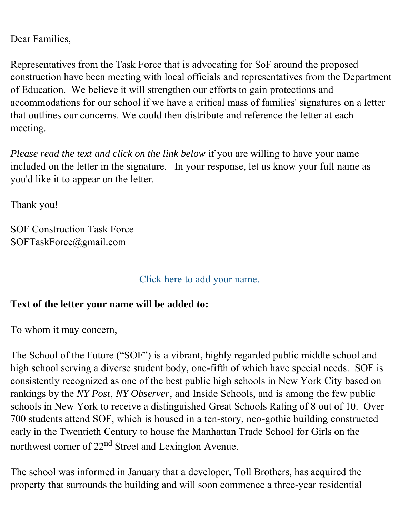## Dear Families,

Representatives from the Task Force that is advocating for SoF around the proposed construction have been meeting with local officials and representatives from the Department of Education. We believe it will strengthen our efforts to gain protections and accommodations for our school if we have a critical mass of families' signatures on a letter that outlines our concerns. We could then distribute and reference the letter at each meeting.

*Please read the text and click on the link below* if you are willing to have your name included on the letter in the signature. In your response, let us know your full name as you'd like it to appear on the letter.

Thank you!

SOF Construction Task Force SOFTaskForce@gmail.com

[Click here to add your](http://goo.gl/forms/rMmc8u7JFZ) name.

## **Text of the letter your name will be added to:**

To whom it may concern,

The School of the Future ("SOF") is a vibrant, highly regarded public middle school and high school serving a diverse student body, one-fifth of which have special needs. SOF is consistently recognized as one of the best public high schools in New York City based on rankings by the *NY Post*, *NY Observer*, and Inside Schools, and is among the few public schools in New York to receive a distinguished Great Schools Rating of 8 out of 10. Over 700 students attend SOF, which is housed in a ten-story, neo-gothic building constructed early in the Twentieth Century to house the Manhattan Trade School for Girls on the northwest corner of 22<sup>nd</sup> Street and Lexington Avenue.

The school was informed in January that a developer, Toll Brothers, has acquired the property that surrounds the building and will soon commence a three-year residential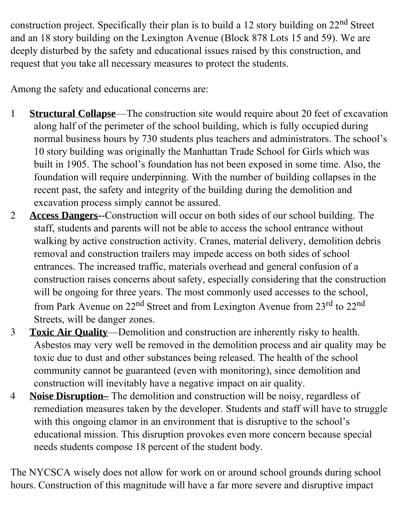construction project. Specifically their plan is to build a 12 story building on  $22<sup>nd</sup>$  Street and an 18 story building on the Lexington Avenue (Block 878 Lots 15 and 59). We are deeply disturbed by the safety and educational issues raised by this construction, and request that you take all necessary measures to protect the students.

Among the safety and educational concerns are:

- 1 **Structural Collapse**—The construction site would require about 20 feet of excavation along half of the perimeter of the school building, which is fully occupied during normal business hours by 730 students plus teachers and administrators. The school's 10 story building was originally the Manhattan Trade School for Girls which was built in 1905. The school's foundation has not been exposed in some time. Also, the foundation will require underpinning. With the number of building collapses in the recent past, the safety and integrity of the building during the demolition and excavation process simply cannot be assured.
- 2 **Access Dangers--**Construction will occur on both sides of our school building. The staff, students and parents will not be able to access the school entrance without walking by active construction activity. Cranes, material delivery, demolition debris removal and construction trailers may impede access on both sides of school entrances. The increased traffic, materials overhead and general confusion of a construction raises concerns about safety, especially considering that the construction will be ongoing for three years. The most commonly used accesses to the school, from Park Avenue on 22nd Street and from Lexington Avenue from 23rd to 22nd Streets, will be danger zones.
- 3 **Toxic Air Quality**—Demolition and construction are inherently risky to health. Asbestos may very well be removed in the demolition process and air quality may be toxic due to dust and other substances being released. The health of the school community cannot be guaranteed (even with monitoring), since demolition and construction will inevitably have a negative impact on air quality.
- 4 **Noise Disruption–** The demolition and construction will be noisy, regardless of remediation measures taken by the developer. Students and staff will have to struggle with this ongoing clamor in an environment that is disruptive to the school's educational mission. This disruption provokes even more concern because special needs students compose 18 percent of the student body.

The NYCSCA wisely does not allow for work on or around school grounds during school hours. Construction of this magnitude will have a far more severe and disruptive impact